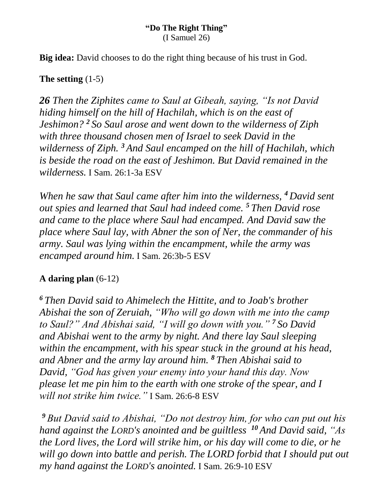#### **"Do The Right Thing"** (I Samuel 26)

**Big idea:** David chooses to do the right thing because of his trust in God.

# **The setting** (1-5)

*26 Then the Ziphites came to Saul at Gibeah, saying, "Is not David hiding himself on the hill of Hachilah, which is on the east of Jeshimon? <sup>2</sup> So Saul arose and went down to the wilderness of Ziph with three thousand chosen men of Israel to seek David in the wilderness of Ziph. <sup>3</sup> And Saul encamped on the hill of Hachilah, which is beside the road on the east of Jeshimon. But David remained in the wilderness.* I Sam. 26:1-3a ESV

*When he saw that Saul came after him into the wilderness, <sup>4</sup> David sent out spies and learned that Saul had indeed come. <sup>5</sup> Then David rose and came to the place where Saul had encamped. And David saw the place where Saul lay, with Abner the son of Ner, the commander of his army. Saul was lying within the encampment, while the army was encamped around him.* I Sam. 26:3b-5 ESV

# **A daring plan** (6-12)

*<sup>6</sup> Then David said to Ahimelech the Hittite, and to Joab's brother Abishai the son of Zeruiah, "Who will go down with me into the camp to Saul?" And Abishai said, "I will go down with you." <sup>7</sup> So David and Abishai went to the army by night. And there lay Saul sleeping within the encampment, with his spear stuck in the ground at his head, and Abner and the army lay around him. <sup>8</sup> Then Abishai said to David, "God has given your enemy into your hand this day. Now please let me pin him to the earth with one stroke of the spear, and I will not strike him twice."* I Sam. 26:6-8 ESV

*<sup>9</sup> But David said to Abishai, "Do not destroy him, for who can put out his hand against the LORD's anointed and be guiltless <sup>10</sup> And David said, "As the Lord lives, the Lord will strike him, or his day will come to die, or he will go down into battle and perish. The LORD forbid that I should put out my hand against the LORD's anointed.* I Sam. 26:9-10 ESV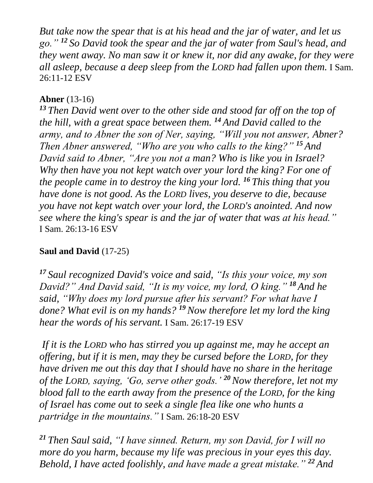*But take now the spear that is at his head and the jar of water, and let us go." <sup>12</sup> So David took the spear and the jar of water from Saul's head, and they went away. No man saw it or knew it, nor did any awake, for they were all asleep, because a deep sleep from the LORD had fallen upon them.* I Sam. 26:11-12 ESV

# **Abner** (13-16)

*<sup>13</sup> Then David went over to the other side and stood far off on the top of the hill, with a great space between them. <sup>14</sup> And David called to the army, and to Abner the son of Ner, saying, "Will you not answer, Abner? Then Abner answered, "Who are you who calls to the king?" <sup>15</sup> And David said to Abner, "Are you not a man? Who is like you in Israel? Why then have you not kept watch over your lord the king? For one of the people came in to destroy the king your lord. <sup>16</sup> This thing that you have done is not good. As the LORD lives, you deserve to die, because you have not kept watch over your lord, the LORD's anointed. And now see where the king's spear is and the jar of water that was at his head."* I Sam. 26:13-16 ESV

# **Saul and David** (17-25)

*<sup>17</sup> Saul recognized David's voice and said, "Is this your voice, my son David?" And David said, "It is my voice, my lord, O king." <sup>18</sup> And he said, "Why does my lord pursue after his servant? For what have I done? What evil is on my hands? <sup>19</sup>Now therefore let my lord the king hear the words of his servant.* I Sam. 26:17-19 ESV

*If it is the LORD who has stirred you up against me, may he accept an offering, but if it is men, may they be cursed before the LORD, for they have driven me out this day that I should have no share in the heritage of the LORD, saying, 'Go, serve other gods.' <sup>20</sup>Now therefore, let not my blood fall to the earth away from the presence of the LORD, for the king of Israel has come out to seek a single flea like one who hunts a partridge in the mountains."* I Sam. 26:18-20 ESV

*<sup>21</sup> Then Saul said, "I have sinned. Return, my son David, for I will no more do you harm, because my life was precious in your eyes this day. Behold, I have acted foolishly, and have made a great mistake." <sup>22</sup> And*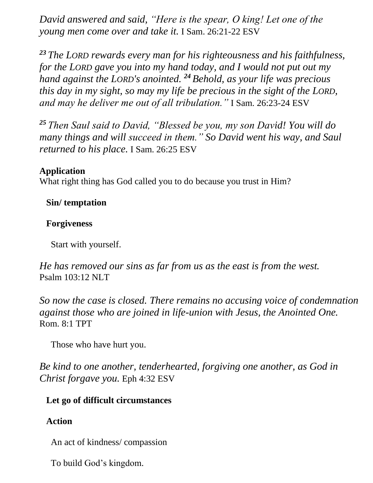*David answered and said, "Here is the spear, O king! Let one of the young men come over and take it.* I Sam. 26:21-22 ESV

*<sup>23</sup> The LORD rewards every man for his righteousness and his faithfulness, for the LORD gave you into my hand today, and I would not put out my hand against the LORD's anointed. <sup>24</sup> Behold, as your life was precious this day in my sight, so may my life be precious in the sight of the LORD, and may he deliver me out of all tribulation."* I Sam. 26:23-24 ESV

*<sup>25</sup> Then Saul said to David, "Blessed be you, my son David! You will do many things and will succeed in them." So David went his way, and Saul returned to his place.* I Sam. 26:25 ESV

# **Application**

What right thing has God called you to do because you trust in Him?

### **Sin/ temptation**

#### **Forgiveness**

Start with yourself.

*He has removed our sins as far from us as the east is from the west.* Psalm 103:12 NLT

*So now the case is closed. There remains no accusing voice of condemnation against those who are joined in life-union with Jesus, the Anointed One.* Rom. 8:1 TPT

Those who have hurt you.

*Be kind to one another, tenderhearted, forgiving one another, as God in Christ forgave you.* Eph 4:32 ESV

# **Let go of difficult circumstances**

# **Action**

An act of kindness/ compassion

To build God's kingdom.